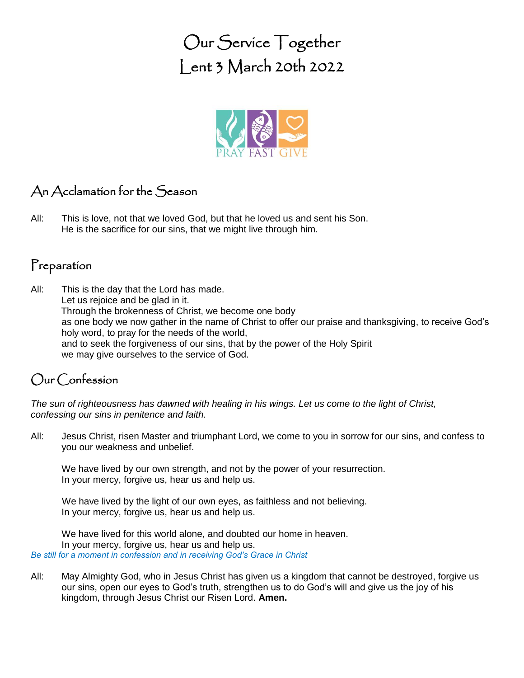Our Service Together Lent 3 March 20th 2022



## An Acclamation for the Season

All: This is love, not that we loved God, but that he loved us and sent his Son. He is the sacrifice for our sins, that we might live through him.

### Preparation

All: This is the day that the Lord has made. Let us rejoice and be glad in it. Through the brokenness of Christ, we become one body as one body we now gather in the name of Christ to offer our praise and thanksgiving, to receive God's holy word, to pray for the needs of the world, and to seek the forgiveness of our sins, that by the power of the Holy Spirit we may give ourselves to the service of God.

## Our Confession

*The sun of righteousness has dawned with healing in his wings. Let us come to the light of Christ, confessing our sins in penitence and faith.*

All: Jesus Christ, risen Master and triumphant Lord, we come to you in sorrow for our sins, and confess to you our weakness and unbelief.

We have lived by our own strength, and not by the power of your resurrection. In your mercy, forgive us, hear us and help us.

We have lived by the light of our own eyes, as faithless and not believing. In your mercy, forgive us, hear us and help us.

We have lived for this world alone, and doubted our home in heaven. In your mercy, forgive us, hear us and help us. *Be still for a moment in confession and in receiving God's Grace in Christ*

All: May Almighty God, who in Jesus Christ has given us a kingdom that cannot be destroyed, forgive us our sins, open our eyes to God's truth, strengthen us to do God's will and give us the joy of his kingdom, through Jesus Christ our Risen Lord. **Amen.**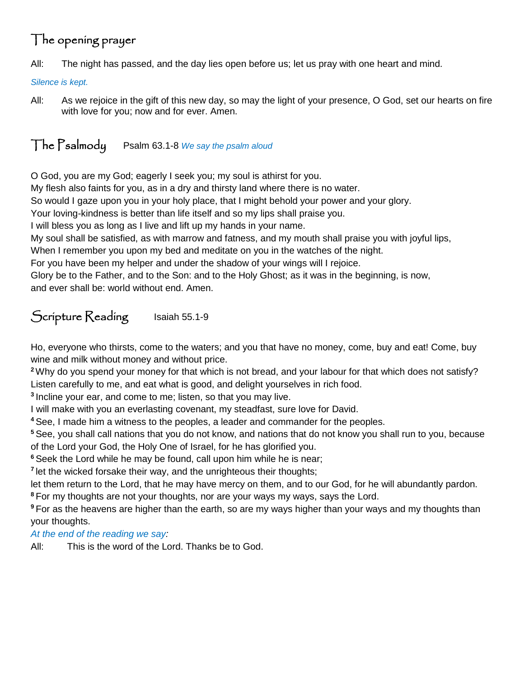# The opening prayer

All: The night has passed, and the day lies open before us; let us pray with one heart and mind.

*Silence is kept.*

All: As we rejoice in the gift of this new day, so may the light of your presence, O God, set our hearts on fire with love for you; now and for ever. Amen.

### The Psalmody Psalm 63.1-8 *We say the psalm aloud*

O God, you are my God; eagerly I seek you; my soul is athirst for you.

My flesh also faints for you, as in a dry and thirsty land where there is no water.

So would I gaze upon you in your holy place, that I might behold your power and your glory.

Your loving-kindness is better than life itself and so my lips shall praise you.

I will bless you as long as I live and lift up my hands in your name.

My soul shall be satisfied, as with marrow and fatness, and my mouth shall praise you with joyful lips,

When I remember you upon my bed and meditate on you in the watches of the night.

For you have been my helper and under the shadow of your wings will I rejoice.

Glory be to the Father, and to the Son: and to the Holy Ghost; as it was in the beginning, is now, and ever shall be: world without end. Amen.

# Scripture Reading Isaiah 55.1-9

Ho, everyone who thirsts, come to the waters; and you that have no money, come, buy and eat! Come, buy wine and milk without money and without price.

**<sup>2</sup>**Why do you spend your money for that which is not bread, and your labour for that which does not satisfy? Listen carefully to me, and eat what is good, and delight yourselves in rich food.

**3** Incline your ear, and come to me; listen, so that you may live.

I will make with you an everlasting covenant, my steadfast, sure love for David.

**<sup>4</sup>** See, I made him a witness to the peoples, a leader and commander for the peoples.

**<sup>5</sup>** See, you shall call nations that you do not know, and nations that do not know you shall run to you, because of the Lord your God, the Holy One of Israel, for he has glorified you.

**<sup>6</sup>** Seek the Lord while he may be found, call upon him while he is near;

<sup>7</sup> let the wicked forsake their way, and the unrighteous their thoughts;

let them return to the Lord, that he may have mercy on them, and to our God, for he will abundantly pardon.

**<sup>8</sup>** For my thoughts are not your thoughts, nor are your ways my ways, says the Lord.

**<sup>9</sup>** For as the heavens are higher than the earth, so are my ways higher than your ways and my thoughts than your thoughts.

*At the end of the reading we say:*

All: This is the word of the Lord. Thanks be to God.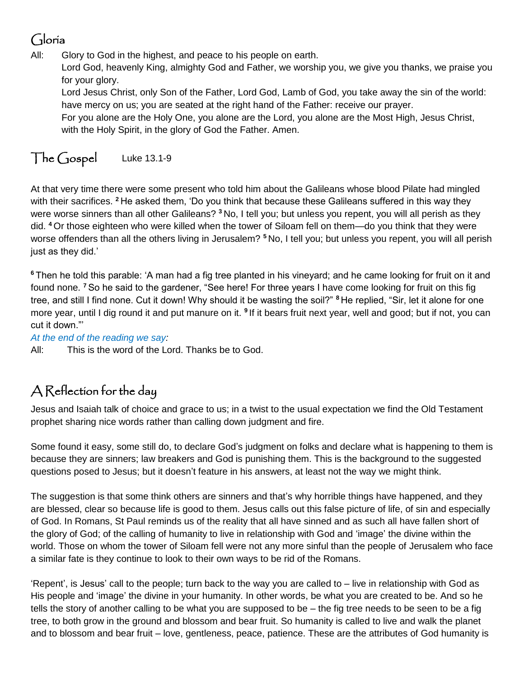## Gloria

All: Glory to God in the highest, and peace to his people on earth.

Lord God, heavenly King, almighty God and Father, we worship you, we give you thanks, we praise you for your glory.

Lord Jesus Christ, only Son of the Father, Lord God, Lamb of God, you take away the sin of the world: have mercy on us; you are seated at the right hand of the Father: receive our prayer.

For you alone are the Holy One, you alone are the Lord, you alone are the Most High, Jesus Christ, with the Holy Spirit, in the glory of God the Father. Amen.

## The Gospel Luke 13.1-9

At that very time there were some present who told him about the Galileans whose blood Pilate had mingled with their sacrifices. **<sup>2</sup>** He asked them, 'Do you think that because these Galileans suffered in this way they were worse sinners than all other Galileans? **<sup>3</sup>** No, I tell you; but unless you repent, you will all perish as they did. **<sup>4</sup>** Or those eighteen who were killed when the tower of Siloam fell on them—do you think that they were worse offenders than all the others living in Jerusalem? **<sup>5</sup>** No, I tell you; but unless you repent, you will all perish just as they did.'

**<sup>6</sup>** Then he told this parable: 'A man had a fig tree planted in his vineyard; and he came looking for fruit on it and found none. **<sup>7</sup>** So he said to the gardener, "See here! For three years I have come looking for fruit on this fig tree, and still I find none. Cut it down! Why should it be wasting the soil?" **<sup>8</sup>** He replied, "Sir, let it alone for one more year, until I dig round it and put manure on it. <sup>9</sup> If it bears fruit next year, well and good; but if not, you can cut it down."'

*At the end of the reading we say:*

All: This is the word of the Lord. Thanks be to God.

# A Reflection for the day

Jesus and Isaiah talk of choice and grace to us; in a twist to the usual expectation we find the Old Testament prophet sharing nice words rather than calling down judgment and fire.

Some found it easy, some still do, to declare God's judgment on folks and declare what is happening to them is because they are sinners; law breakers and God is punishing them. This is the background to the suggested questions posed to Jesus; but it doesn't feature in his answers, at least not the way we might think.

The suggestion is that some think others are sinners and that's why horrible things have happened, and they are blessed, clear so because life is good to them. Jesus calls out this false picture of life, of sin and especially of God. In Romans, St Paul reminds us of the reality that all have sinned and as such all have fallen short of the glory of God; of the calling of humanity to live in relationship with God and 'image' the divine within the world. Those on whom the tower of Siloam fell were not any more sinful than the people of Jerusalem who face a similar fate is they continue to look to their own ways to be rid of the Romans.

'Repent', is Jesus' call to the people; turn back to the way you are called to – live in relationship with God as His people and 'image' the divine in your humanity. In other words, be what you are created to be. And so he tells the story of another calling to be what you are supposed to be – the fig tree needs to be seen to be a fig tree, to both grow in the ground and blossom and bear fruit. So humanity is called to live and walk the planet and to blossom and bear fruit – love, gentleness, peace, patience. These are the attributes of God humanity is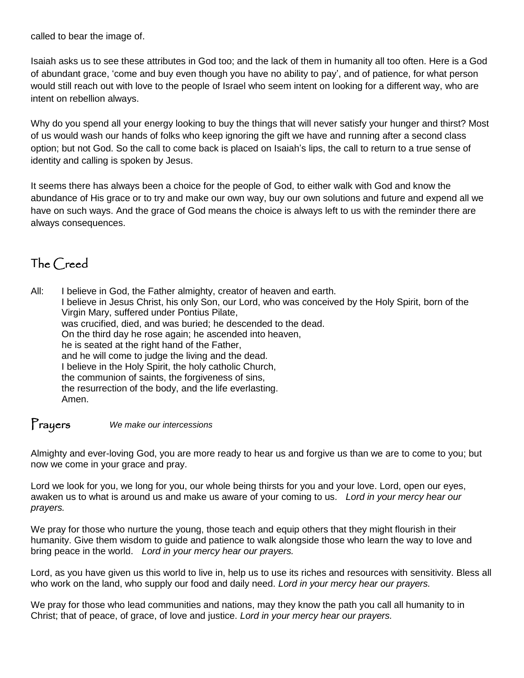called to bear the image of.

Isaiah asks us to see these attributes in God too; and the lack of them in humanity all too often. Here is a God of abundant grace, 'come and buy even though you have no ability to pay', and of patience, for what person would still reach out with love to the people of Israel who seem intent on looking for a different way, who are intent on rebellion always.

Why do you spend all your energy looking to buy the things that will never satisfy your hunger and thirst? Most of us would wash our hands of folks who keep ignoring the gift we have and running after a second class option; but not God. So the call to come back is placed on Isaiah's lips, the call to return to a true sense of identity and calling is spoken by Jesus.

It seems there has always been a choice for the people of God, to either walk with God and know the abundance of His grace or to try and make our own way, buy our own solutions and future and expend all we have on such ways. And the grace of God means the choice is always left to us with the reminder there are always consequences.

### The Creed

All: I believe in God, the Father almighty, creator of heaven and earth. I believe in Jesus Christ, his only Son, our Lord, who was conceived by the Holy Spirit, born of the Virgin Mary, suffered under Pontius Pilate, was crucified, died, and was buried; he descended to the dead. On the third day he rose again; he ascended into heaven, he is seated at the right hand of the Father, and he will come to judge the living and the dead. I believe in the Holy Spirit, the holy catholic Church, the communion of saints, the forgiveness of sins, the resurrection of the body, and the life everlasting. Amen.

#### Prayers *We make our intercessions*

Almighty and ever-loving God, you are more ready to hear us and forgive us than we are to come to you; but now we come in your grace and pray.

Lord we look for you, we long for you, our whole being thirsts for you and your love. Lord, open our eyes, awaken us to what is around us and make us aware of your coming to us. *Lord in your mercy hear our prayers.*

We pray for those who nurture the young, those teach and equip others that they might flourish in their humanity. Give them wisdom to guide and patience to walk alongside those who learn the way to love and bring peace in the world. *Lord in your mercy hear our prayers.*

Lord, as you have given us this world to live in, help us to use its riches and resources with sensitivity. Bless all who work on the land, who supply our food and daily need. *Lord in your mercy hear our prayers.*

We pray for those who lead communities and nations, may they know the path you call all humanity to in Christ; that of peace, of grace, of love and justice. *Lord in your mercy hear our prayers.*